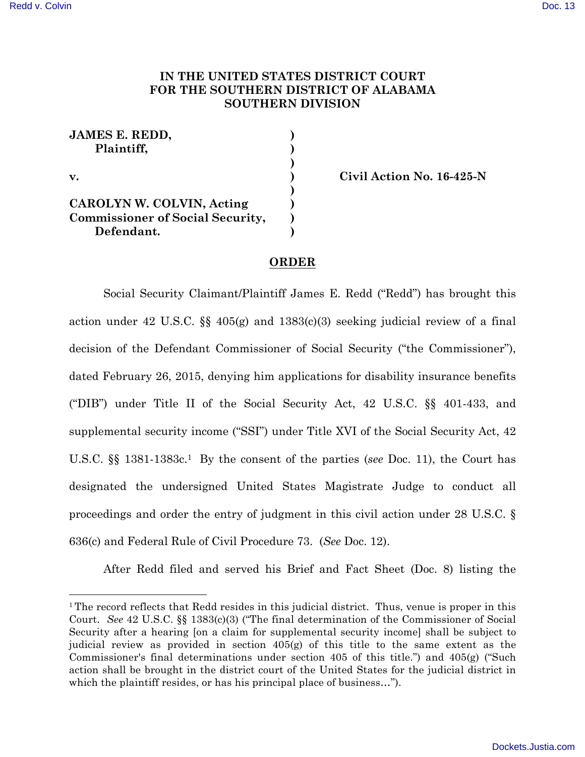1

## **IN THE UNITED STATES DISTRICT COURT FOR THE SOUTHERN DISTRICT OF ALABAMA SOUTHERN DIVISION**

| <b>JAMES E. REDD,</b>                   |  |
|-----------------------------------------|--|
| Plaintiff,                              |  |
|                                         |  |
| $\mathbf{v}$ .                          |  |
|                                         |  |
| CAROLYN W. COLVIN, Acting               |  |
| <b>Commissioner of Social Security,</b> |  |
| Defendant.                              |  |

**v. ) Civil Action No. 16-425-N**

## **ORDER**

Social Security Claimant/Plaintiff James E. Redd ("Redd") has brought this action under 42 U.S.C. §§ 405(g) and 1383(c)(3) seeking judicial review of a final decision of the Defendant Commissioner of Social Security ("the Commissioner"), dated February 26, 2015, denying him applications for disability insurance benefits ("DIB") under Title II of the Social Security Act, 42 U.S.C. §§ 401-433, and supplemental security income ("SSI") under Title XVI of the Social Security Act, 42 U.S.C. §§ 1381-1383c.1 By the consent of the parties (*see* Doc. 11), the Court has designated the undersigned United States Magistrate Judge to conduct all proceedings and order the entry of judgment in this civil action under 28 U.S.C. § 636(c) and Federal Rule of Civil Procedure 73. (*See* Doc. 12).

After Redd filed and served his Brief and Fact Sheet (Doc. 8) listing the

<sup>&</sup>lt;sup>1</sup> The record reflects that Redd resides in this judicial district. Thus, venue is proper in this Court. *See* 42 U.S.C. §§ 1383(c)(3) ("The final determination of the Commissioner of Social Security after a hearing [on a claim for supplemental security income] shall be subject to judicial review as provided in section 405(g) of this title to the same extent as the Commissioner's final determinations under section 405 of this title.") and 405(g) ("Such action shall be brought in the district court of the United States for the judicial district in which the plaintiff resides, or has his principal place of business...").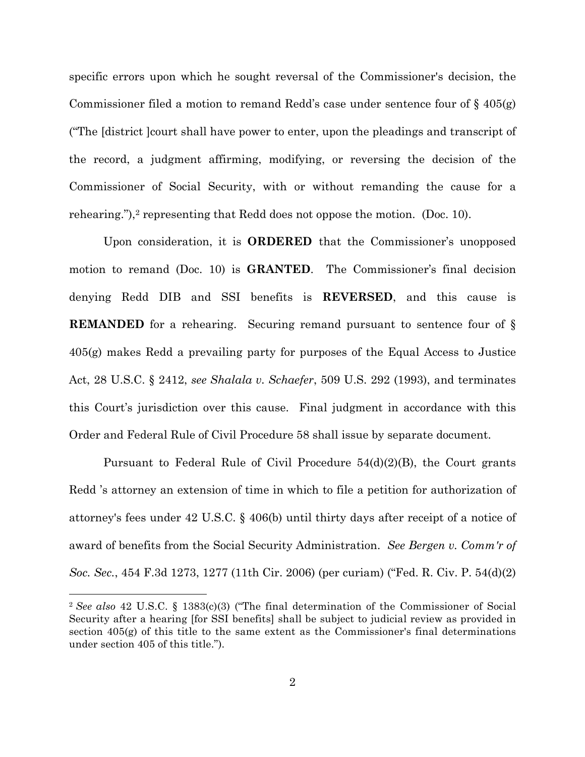specific errors upon which he sought reversal of the Commissioner's decision, the Commissioner filed a motion to remand Redd's case under sentence four of § 405(g) ("The [district ]court shall have power to enter, upon the pleadings and transcript of the record, a judgment affirming, modifying, or reversing the decision of the Commissioner of Social Security, with or without remanding the cause for a rehearing."),<sup>2</sup> representing that Redd does not oppose the motion. (Doc. 10).

Upon consideration, it is **ORDERED** that the Commissioner's unopposed motion to remand (Doc. 10) is **GRANTED**. The Commissioner's final decision denying Redd DIB and SSI benefits is **REVERSED**, and this cause is **REMANDED** for a rehearing. Securing remand pursuant to sentence four of § 405(g) makes Redd a prevailing party for purposes of the Equal Access to Justice Act, 28 U.S.C. § 2412, *see Shalala v. Schaefer*, 509 U.S. 292 (1993), and terminates this Court's jurisdiction over this cause. Final judgment in accordance with this Order and Federal Rule of Civil Procedure 58 shall issue by separate document.

Pursuant to Federal Rule of Civil Procedure  $54(d)(2)(B)$ , the Court grants Redd 's attorney an extension of time in which to file a petition for authorization of attorney's fees under 42 U.S.C. § 406(b) until thirty days after receipt of a notice of award of benefits from the Social Security Administration. *See Bergen v. Comm'r of Soc. Sec.*, 454 F.3d 1273, 1277 (11th Cir. 2006) (per curiam) ("Fed. R. Civ. P. 54(d)(2)

1

<sup>2</sup> *See also* 42 U.S.C. § 1383(c)(3) ("The final determination of the Commissioner of Social Security after a hearing [for SSI benefits] shall be subject to judicial review as provided in section 405(g) of this title to the same extent as the Commissioner's final determinations under section 405 of this title.").